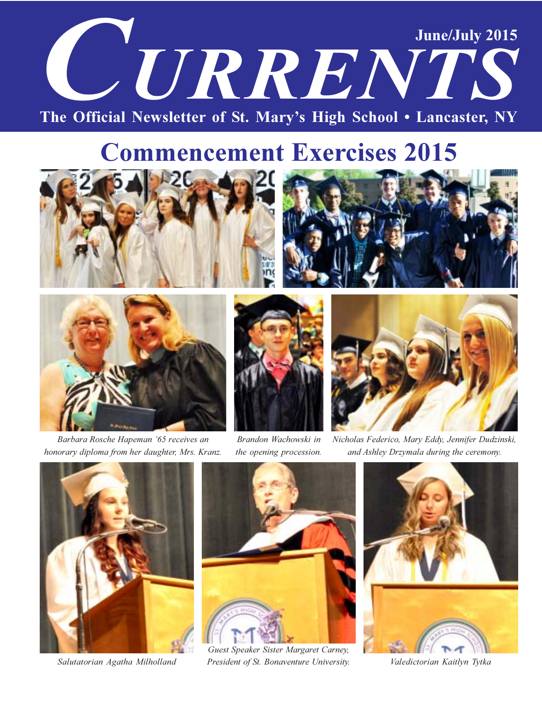# **June/July 2015** CURRENTS The Official Newsletter of St. Mary's High School . Lancaster, NY

# **Commencement Exercises 2015**







Barbara Rosche Hapeman '65 receives an honorary diploma from her daughter, Mrs. Kranz.



Brandon Wachowski in the opening procession.



Nicholas Federico, Mary Eddy, Jennifer Dudzinski, and Ashley Drzymala during the ceremony.



Salutatorian Agatha Milholland



Guest Speaker Sister Margaret Carney, President of St. Bonaventure University.



Valedictorian Kaitlyn Tytka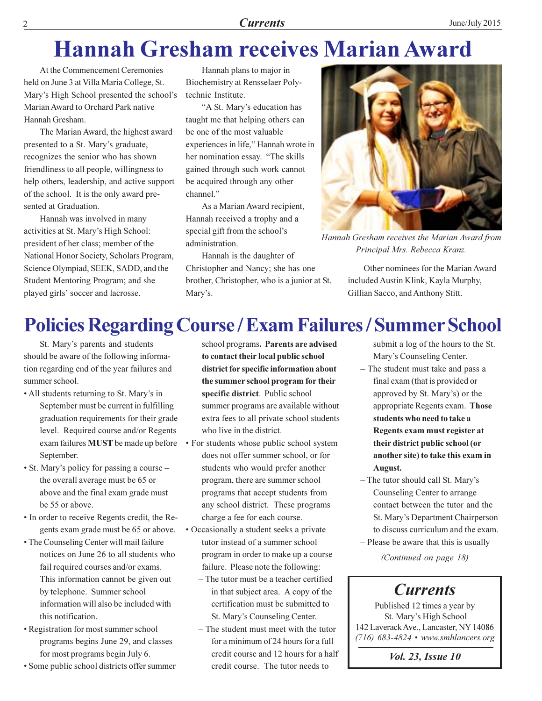#### **Currents**

# **Hannah Gresham receives Marian Award**

At the Commencement Ceremonies held on June 3 at Villa Maria College, St. Mary's High School presented the school's Marian Award to Orchard Park native Hannah Gresham.

The Marian Award, the highest award presented to a St. Mary's graduate, recognizes the senior who has shown friendliness to all people, willingness to help others, leadership, and active support of the school. It is the only award presented at Graduation.

Hannah was involved in many activities at St. Mary's High School: president of her class; member of the National Honor Society, Scholars Program, Science Olympiad, SEEK, SADD, and the Student Mentoring Program; and she played girls' soccer and lacrosse.

Hannah plans to major in Biochemistry at Rensselaer Polytechnic Institute.

"A St. Mary's education has taught me that helping others can be one of the most valuable experiences in life," Hannah wrote in her nomination essay. "The skills gained through such work cannot be acquired through any other channel."

As a Marian Award recipient, Hannah received a trophy and a special gift from the school's administration.

Hannah is the daughter of Christopher and Nancy; she has one brother, Christopher, who is a junior at St. Mary's.



Hannah Gresham receives the Marian Award from Principal Mrs. Rebecca Kranz.

Other nominees for the Marian Award included Austin Klink, Kayla Murphy, Gillian Sacco, and Anthony Stitt.

## **Policies Regarding Course / Exam Failures / Summer School**

St. Mary's parents and students should be aware of the following information regarding end of the year failures and summer school.

- All students returning to St. Mary's in September must be current in fulfilling graduation requirements for their grade level. Required course and/or Regents exam failures MUST be made up before • For students whose public school system September.
- St. Mary's policy for passing a course the overall average must be 65 or above and the final exam grade must be 55 or above.
- In order to receive Regents credit, the Regents exam grade must be 65 or above.
- The Counseling Center will mail failure notices on June 26 to all students who fail required courses and/or exams. This information cannot be given out by telephone. Summer school information will also be included with this notification.
- Registration for most summer school programs begins June 29, and classes for most programs begin July 6.
- Some public school districts offer summer

school programs. Parents are advised to contact their local public school district for specific information about the summer school program for their specific district. Public school summer programs are available without extra fees to all private school students who live in the district.

- does not offer summer school, or for students who would prefer another program, there are summer school programs that accept students from any school district. These programs charge a fee for each course.
- Occasionally a student seeks a private tutor instead of a summer school program in order to make up a course failure. Please note the following:
	- The tutor must be a teacher certified in that subject area. A copy of the certification must be submitted to St. Mary's Counseling Center.
	- The student must meet with the tutor for a minimum of 24 hours for a full credit course and 12 hours for a half credit course. The tutor needs to

submit a log of the hours to the St. Mary's Counseling Center.

- The student must take and pass a final exam (that is provided or approved by St. Mary's) or the appropriate Regents exam. Those students who need to take a Regents exam must register at their district public school (or another site) to take this exam in August.
- The tutor should call St. Mary's Counseling Center to arrange contact between the tutor and the St. Mary's Department Chairperson to discuss curriculum and the exam.
- Please be aware that this is usually (Continued on page 18)

### **Currents**

Published 12 times a year by St. Mary's High School 142 Laverack Ave., Lancaster, NY 14086  $(716)$  683-4824 • www.smhlancers.org

Vol. 23, Issue 10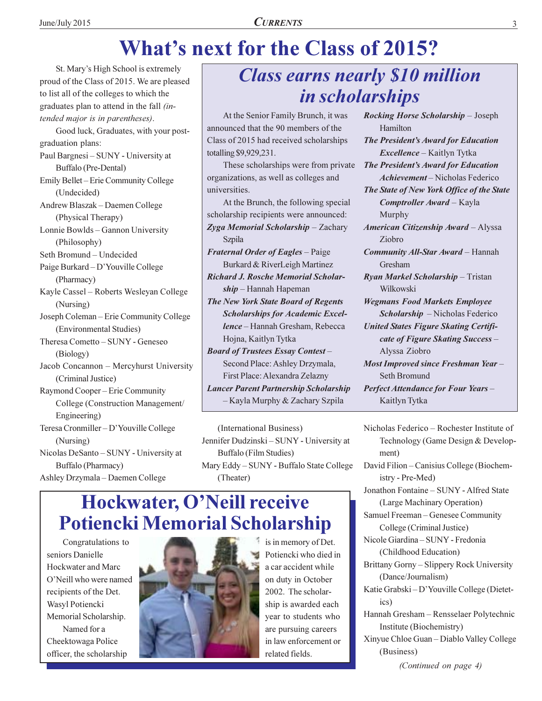# **What's next for the Class of 2015?**

St. Mary's High School is extremely proud of the Class of 2015. We are pleased to list all of the colleges to which the graduates plan to attend in the fall *(in*tended major is in parentheses). Good luck, Graduates, with your postgraduation plans: Paul Bargnesi - SUNY - University at Buffalo (Pre-Dental) Emily Bellet - Erie Community College (Undecided) Andrew Blaszak - Daemen College (Physical Therapy) Lonnie Bowlds - Gannon University (Philosophy) Seth Bromund - Undecided Paige Burkard - D'Youville College (Pharmacy) Kayle Cassel - Roberts Wesleyan College (Nursing) Joseph Coleman - Erie Community College (Environmental Studies) Theresa Cometto - SUNY - Geneseo (Biology) Jacob Concannon - Mercyhurst University (Criminal Justice) Raymond Cooper - Erie Community College (Construction Management/ Engineering) Teresa Cronmiller - D'Youville College (Nursing) Nicolas DeSanto - SUNY - University at Buffalo (Pharmacy) Ashley Drzymala - Daemen College

### **Class earns nearly \$10 million** in scholarships

At the Senior Family Brunch, it was announced that the 90 members of the Class of 2015 had received scholarships totalling \$9,929,231.

These scholarships were from private organizations, as well as colleges and universities.

At the Brunch, the following special scholarship recipients were announced: Zyga Memorial Scholarship - Zachary Szpila Fraternal Order of Eagles - Paige

Burkard & RiverLeigh Martinez **Richard J. Rosche Memorial Scholar** $ship$  – Hannah Hapeman

The New York State Board of Regents **Scholarships for Academic Excel**lence - Hannah Gresham, Rebecca Hojna, Kaitlyn Tytka

**Board of Trustees Essay Contest-**Second Place: Ashley Drzymala, First Place: Alexandra Zelazny **Lancer Parent Partnership Scholarship** 

- Kayla Murphy & Zachary Szpila

(International Business) Jennifer Dudzinski - SUNY - University at **Buffalo** (Film Studies) Mary Eddy - SUNY - Buffalo State College (Theater)

### Hockwater, O'Neill receive **Potiencki Memorial Scholarship**

Congratulations to seniors Danielle Hockwater and Marc O'Neill who were named recipients of the Det. Wasyl Potiencki Memorial Scholarship. Named for a Cheektowaga Police officer, the scholarship



is in memory of Det. Potiencki who died in a car accident while on duty in October 2002. The scholarship is awarded each year to students who are pursuing careers in law enforcement or related fields.

Rocking Horse Scholarship - Joseph Hamilton The President's Award for Education *Excellence* – Kaitlyn Tytka The President's Award for Education Achievement – Nicholas Federico The State of New York Office of the State Comptroller Award - Kayla Murphy American Citizenship Award - Alyssa Ziobro **Community All-Star Award - Hannah** Gresham Ryan Markel Scholarship - Tristan Wilkowski **Wegmans Food Markets Employee** Scholarship - Nicholas Federico **United States Figure Skating Certifi**cate of Figure Skating Success-Alyssa Ziobro **Most Improved since Freshman Year-**Seth Bromund **Perfect Attendance for Four Years**-Kaitlyn Tytka

Nicholas Federico - Rochester Institute of Technology (Game Design & Development) David Filion - Canisius College (Biochemistry - Pre-Med) Jonathon Fontaine - SUNY - Alfred State (Large Machinary Operation) Samuel Freeman - Genesee Community College (Criminal Justice) Nicole Giardina - SUNY - Fredonia (Childhood Education) Brittany Gorny - Slippery Rock University (Dance/Journalism) Katie Grabski - D'Youville College (Dietetics) Hannah Gresham - Rensselaer Polytechnic Institute (Biochemistry) Xinyue Chloe Guan - Diablo Valley College (Business) (Continued on page 4)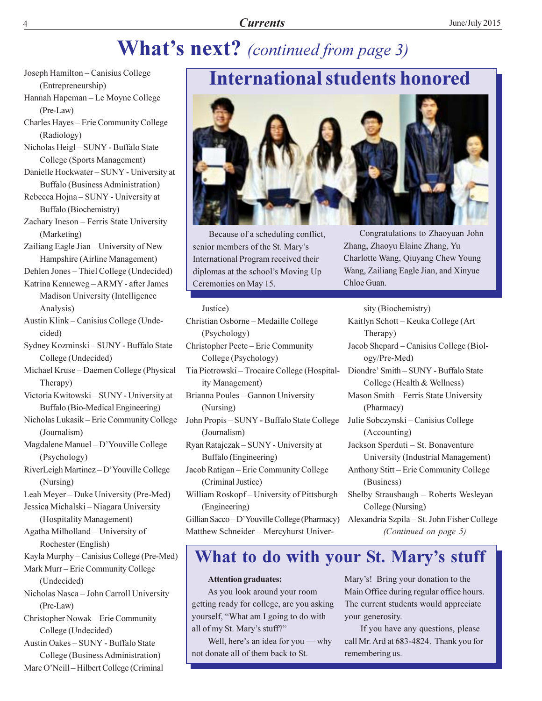## **What's next?** (continued from page 3)

- Joseph Hamilton Canisius College (Entrepreneurship)
- Hannah Hapeman Le Moyne College (Pre-Law)
- Charles Hayes Erie Community College (Radiology)
- Nicholas Heigl-SUNY Buffalo State College (Sports Management)
- Danielle Hockwater SUNY University at Buffalo (Business Administration)
- Rebecca Hojna SUNY University at Buffalo (Biochemistry)
- Zachary Ineson Ferris State University (Marketing)
- Zailiang Eagle Jian University of New Hampshire (Airline Management)
- Dehlen Jones Thiel College (Undecided)
- Katrina Kenneweg ARMY after James Madison University (Intelligence Analysis)
- Austin Klink Canisius College (Undecided)
- Sydney Kozminski SUNY Buffalo State College (Undecided)
- Michael Kruse Daemen College (Physical Therapy)
- Victoria Kwitowski SUNY University at Buffalo (Bio-Medical Engineering)
- Nicholas Lukasik Erie Community College (Journalism)
- Magdalene Manuel D'Youville College (Psychology)
- RiverLeigh Martinez-D'Youville College (Nursing)
- Leah Meyer Duke University (Pre-Med)
- Jessica Michalski Niagara University (Hospitality Management)
- Agatha Milholland University of Rochester (English)
- Kayla Murphy Canisius College (Pre-Med)
- Mark Murr Erie Community College (Undecided) Nicholas Nasca - John Carroll University (Pre-Law) Christopher Nowak - Erie Community
- College (Undecided)
- Austin Oakes SUNY Buffalo State College (Business Administration) Marc O'Neill – Hilbert College (Criminal

### **International students honored**



Because of a scheduling conflict, senior members of the St. Mary's International Program received their diplomas at the school's Moving Up Ceremonies on May 15.

#### Justice)

- Christian Osborne Medaille College (Psychology)
- Christopher Peete Erie Community College (Psychology) Tia Piotrowski – Trocaire College (Hospitality Management)
- Brianna Poules Gannon University (Nursing)
- John Propis SUNY Buffalo State College (Journalism)
- Ryan Ratajczak SUNY University at Buffalo (Engineering)
- Jacob Ratigan Erie Community College (Criminal Justice)
- William Roskopf-University of Pittsburgh (Engineering) Gillian Sacco-D'Youville College (Pharmacy)

Matthew Schneider - Mercyhurst Univer-

Congratulations to Zhaoyuan John Zhang, Zhaoyu Elaine Zhang, Yu Charlotte Wang, Qiuyang Chew Young Wang, Zailiang Eagle Jian, and Xinyue Chloe Guan.

sity (Biochemistry)

- Kaitlyn Schott Keuka College (Art Therapy) Jacob Shepard - Canisius College (Biol-
- ogy/Pre-Med)
- Diondre' Smith SUNY Buffalo State College (Health & Wellness)
- Mason Smith Ferris State University (Pharmacy)
- Julie Sobczynski Canisius College (Accounting)
- Jackson Sperduti St. Bonaventure University (Industrial Management)
- Anthony Stitt-Erie Community College (Business)
- Shelby Strausbaugh Roberts Wesleyan College (Nursing)
- Alexandria Szpila St. John Fisher College (Continued on page 5)

### What to do with your St. Mary's stuff

#### **Attention graduates:**

As you look around your room getting ready for college, are you asking yourself, "What am I going to do with all of my St. Mary's stuff?"

Well, here's an idea for you — why not donate all of them back to St.

Mary's! Bring your donation to the Main Office during regular office hours. The current students would appreciate your generosity.

If you have any questions, please call Mr. Ard at 683-4824. Thank you for remembering us.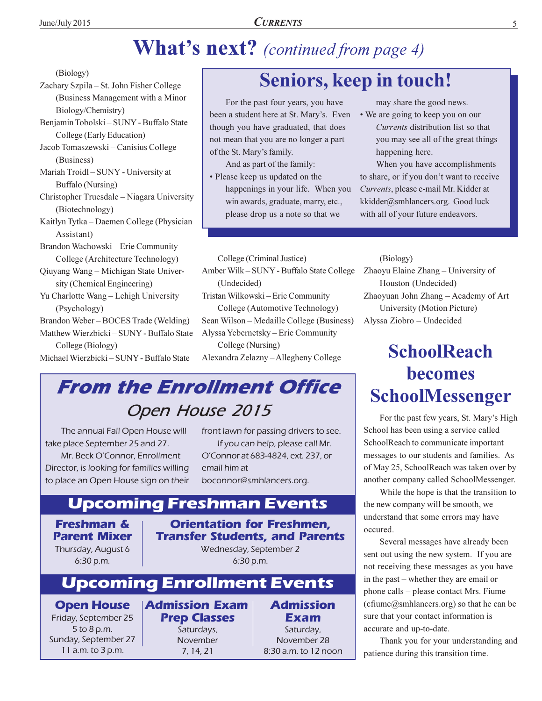## **What's next?** (continued from page 4)

(Biology)

Zachary Szpila – St. John Fisher College (Business Management with a Minor Biology/Chemistry)

Benjamin Tobolski - SUNY - Buffalo State College (Early Education)

Jacob Tomaszewski – Canisius College (Business)

Mariah Troidl – SUNY - University at **Buffalo** (Nursing)

Christopher Truesdale - Niagara University (Biotechnology)

Kaitlyn Tytka – Daemen College (Physician Assistant)

Brandon Wachowski - Erie Community College (Architecture Technology)

Qiuyang Wang - Michigan State University (Chemical Engineering)

Yu Charlotte Wang - Lehigh University (Psychology)

Brandon Weber-BOCES Trade (Welding) Matthew Wierzbicki - SUNY - Buffalo State

College (Biology) Michael Wierzbicki - SUNY - Buffalo State

### **Seniors, keep in touch!**

For the past four years, you have been a student here at St. Mary's. Even though you have graduated, that does not mean that you are no longer a part of the St. Mary's family.

And as part of the family:

• Please keep us updated on the happenings in your life. When you win awards, graduate, marry, etc., please drop us a note so that we

may share the good news.

• We are going to keep you on our Currents distribution list so that you may see all of the great things happening here.

When you have accomplishments to share, or if you don't want to receive Currents, please e-mail Mr. Kidder at kkidder@smhlancers.org. Good luck with all of your future endeavors.

College (Criminal Justice)

Amber Wilk - SUNY - Buffalo State College (Undecided) Tristan Wilkowski - Erie Community College (Automotive Technology) Sean Wilson - Medaille College (Business) Alyssa Yebernetsky – Erie Community College (Nursing)

Alexandra Zelazny - Allegheny College

### **From the Enrollment Office** Open House 2015

The annual Fall Open House will take place September 25 and 27. Mr. Beck O'Connor, Enrollment Director, is looking for families willing to place an Open House sign on their front lawn for passing drivers to see. If you can help, please call Mr. O'Connor at 683-4824, ext. 237, or email him at boconnor@smhlancers.org.

### **Upcoming Freshman Events**

**Freshman & Parent Mixer** Thursday, August 6  $6:30 p.m.$ 

#### **Orientation for Freshmen, Transfer Students, and Parents**

Wednesday, September 2  $6:30 p.m.$ 

### **Upcoming Enrollment Events**

**Open House** Friday, September 25 5 to 8 p.m. Sunday, September 27 11 a.m. to 3 p.m.

**Admission Exam Prep Classes** Saturdays,

November  $7, 14, 21$ 

**Admission Exam** Saturday, November 28 8:30 a.m. to 12 noon (Biology)

Zhaoyu Elaine Zhang - University of Houston (Undecided) Zhaoyuan John Zhang - Academy of Art University (Motion Picture) Alyssa Ziobro - Undecided

## **SchoolReach** becomes **SchoolMessenger**

For the past few years, St. Mary's High School has been using a service called SchoolReach to communicate important messages to our students and families. As of May 25, SchoolReach was taken over by another company called SchoolMessenger.

While the hope is that the transition to the new company will be smooth, we understand that some errors may have occured.

Several messages have already been sent out using the new system. If you are not receiving these messages as you have in the past – whether they are email or phone calls – please contact Mrs. Fiume (cfiume@smhlancers.org) so that he can be sure that your contact information is accurate and up-to-date.

Thank you for your understanding and patience during this transition time.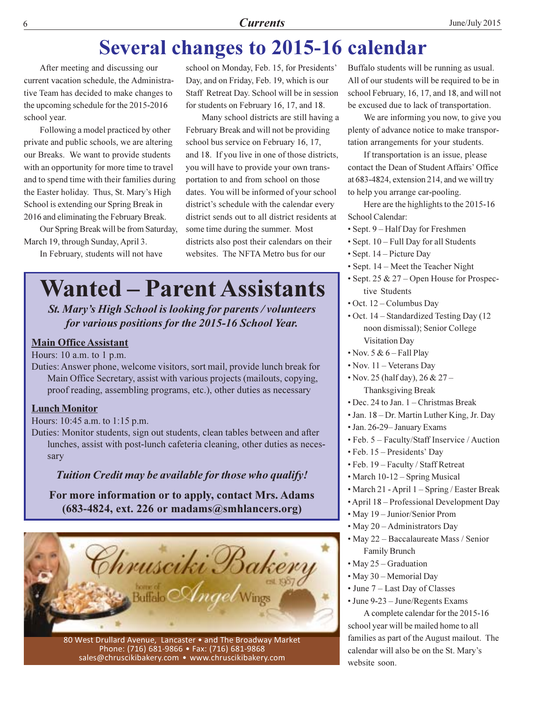### **Several changes to 2015-16 calendar**

After meeting and discussing our current vacation schedule, the Administrative Team has decided to make changes to the upcoming schedule for the 2015-2016 school year.

Following a model practiced by other private and public schools, we are altering our Breaks. We want to provide students with an opportunity for more time to travel and to spend time with their families during the Easter holiday. Thus, St. Mary's High School is extending our Spring Break in 2016 and eliminating the February Break.

Our Spring Break will be from Saturday, March 19, through Sunday, April 3.

In February, students will not have

school on Monday, Feb. 15, for Presidents' Day, and on Friday, Feb. 19, which is our Staff Retreat Day. School will be in session for students on February 16, 17, and 18.

Many school districts are still having a February Break and will not be providing school bus service on February 16, 17, and 18. If you live in one of those districts, you will have to provide your own transportation to and from school on those dates. You will be informed of your school district's schedule with the calendar every district sends out to all district residents at some time during the summer. Most districts also post their calendars on their websites. The NFTA Metro bus for our

# **Wanted – Parent Assistants**

St. Mary's High School is looking for parents / volunteers for various positions for the 2015-16 School Year.

#### **Main Office Assistant**

Hours:  $10$  a.m. to  $1$  p.m.

Duties: Answer phone, welcome visitors, sort mail, provide lunch break for Main Office Secretary, assist with various projects (mailouts, copying, proof reading, assembling programs, etc.), other duties as necessary

#### **Lunch Monitor**

Hours: 10:45 a.m. to 1:15 p.m.

Duties: Monitor students, sign out students, clean tables between and after lunches, assist with post-lunch cafeteria cleaning, other duties as necessary

#### Tuition Credit may be available for those who qualify!

For more information or to apply, contact Mrs. Adams  $(683-4824, \text{ext. } 226 \text{ or } \text{madams@smhlancers.org})$ 



80 West Drullard Avenue, Lancaster • and The Broadway Market Phone: (716) 681-9866 · Fax: (716) 681-9868 sales@chruscikibakery.com • www.chruscikibakery.com

Buffalo students will be running as usual. All of our students will be required to be in school February, 16, 17, and 18, and will not be excused due to lack of transportation.

We are informing you now, to give you plenty of advance notice to make transportation arrangements for your students.

If transportation is an issue, please contact the Dean of Student Affairs' Office at 683-4824, extension 214, and we will try to help you arrange car-pooling.

Here are the highlights to the 2015-16 School Calendar:

- Sept. 9 Half Day for Freshmen
- Sept. 10 Full Day for all Students
- $\bullet$  Sept. 14 Picture Day
- $\bullet$  Sept. 14 Meet the Teacher Night
- Sept. 25 & 27 Open House for Prospective Students
- $\cdot$  Oct. 12 Columbus Day
- Oct. 14 Standardized Testing Day (12 noon dismissal); Senior College **Visitation Day**
- Nov.  $5 & 6$  Fall Play
- $\cdot$  Nov. 11 Veterans Day
- Nov. 25 (half day), 26 & 27 Thanksgiving Break
- Dec. 24 to Jan. 1 Christmas Break
- Jan. 18 Dr. Martin Luther King, Jr. Day
- Jan. 26-29- January Exams
- Feb. 5 Faculty/Staff Inservice / Auction
- Feb. 15 Presidents' Day
- Feb. 19 Faculty / Staff Retreat
- March 10-12 Spring Musical
- March 21 April 1 Spring / Easter Break
- April 18 Professional Development Day
- May 19 Junior/Senior Prom
- May 20 Administrators Day
- May 22 Baccalaureate Mass / Senior **Family Brunch**
- $\cdot$  May 25 Graduation
- May 30 Memorial Day
- June 7 Last Day of Classes
- $\cdot$  June 9-23 June/Regents Exams

A complete calendar for the 2015-16 school year will be mailed home to all families as part of the August mailout. The calendar will also be on the St. Mary's website soon.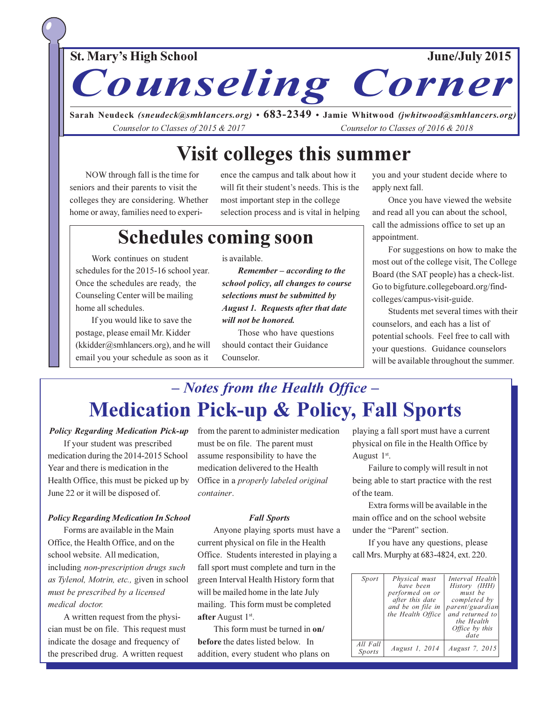**St. Mary's High School** 

June/July 2015

Sarah Neudeck (sneudeck@smhlancers.org) •  $683-2349$  • Jamie Whitwood (jwhitwood@smhlancers.org) Counselor to Classes of 2015 & 2017 Counselor to Classes of 2016 & 2018

**Counseling Corner** 

### **Visit colleges this summer**

NOW through fall is the time for seniors and their parents to visit the colleges they are considering. Whether home or away, families need to experience the campus and talk about how it will fit their student's needs. This is the most important step in the college selection process and is vital in helping

### **Schedules coming soon**

Work continues on student schedules for the 2015-16 school year. Once the schedules are ready, the Counseling Center will be mailing home all schedules.

If you would like to save the postage, please email Mr. Kidder (kkidder@smhlancers.org), and he will email you your schedule as soon as it

is available.

Remember – according to the school policy, all changes to course selections must be submitted by **August 1. Requests after that date** will not be honored.

Those who have questions should contact their Guidance Counselor.

you and your student decide where to apply next fall.

Once you have viewed the website and read all you can about the school, call the admissions office to set up an appointment.

For suggestions on how to make the most out of the college visit, The College Board (the SAT people) has a check-list. Go to bigfuture.collegeboard.org/findcolleges/campus-visit-guide.

Students met several times with their counselors, and each has a list of potential schools. Feel free to call with your questions. Guidance counselors will be available throughout the summer.

### - Notes from the Health Office -**Medication Pick-up & Policy, Fall Sports**

**Policy Regarding Medication Pick-up** 

If your student was prescribed medication during the 2014-2015 School Year and there is medication in the Health Office, this must be picked up by June 22 or it will be disposed of.

#### **Policy Regarding Medication In School**

Forms are available in the Main Office, the Health Office, and on the school website. All medication, including non-prescription drugs such as Tylenol, Motrin, etc., given in school must be prescribed by a licensed medical doctor.

A written request from the physician must be on file. This request must indicate the dosage and frequency of the prescribed drug. A written request

from the parent to administer medication must be on file. The parent must assume responsibility to have the medication delivered to the Health Office in a properly labeled original container.

#### **Fall Sports**

Anyone playing sports must have a current physical on file in the Health Office. Students interested in playing a fall sport must complete and turn in the green Interval Health History form that will be mailed home in the late July mailing. This form must be completed after August 1st.

This form must be turned in on/ before the dates listed below. In addition, every student who plans on playing a fall sport must have a current physical on file in the Health Office by August  $1<sup>st</sup>$ .

Failure to comply will result in not being able to start practice with the rest of the team.

Extra forms will be available in the main office and on the school website under the "Parent" section.

If you have any questions, please call Mrs. Murphy at 683-4824, ext. 220.

| Sport              | Physical must<br>have been<br>performed on or<br>after this date<br>and be on file in<br>the Health Office | Interval Health<br>History (IHH)<br>must be<br>completed by<br>parent/guardian<br>and returned to<br>the Health<br><i>Office</i> by this<br>date |
|--------------------|------------------------------------------------------------------------------------------------------------|--------------------------------------------------------------------------------------------------------------------------------------------------|
| All Fall<br>Sports | August 1, 2014                                                                                             | <i>August 7, 2015</i>                                                                                                                            |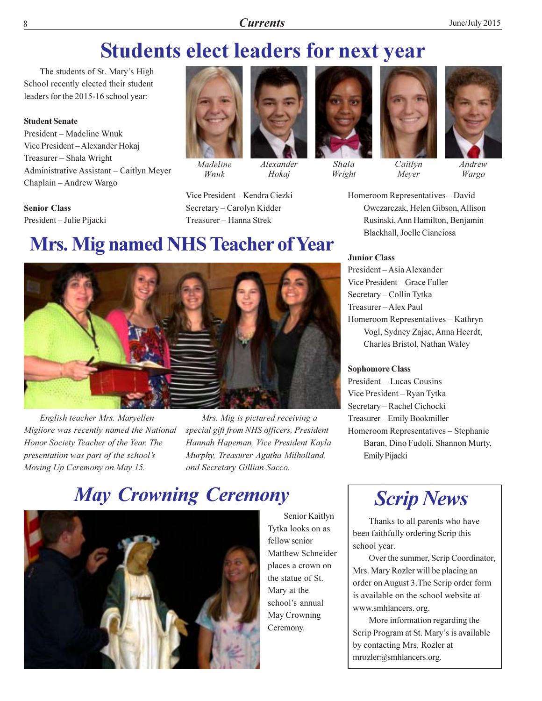### **Students elect leaders for next year**

The students of St. Mary's High School recently elected their student leaders for the 2015-16 school year:

#### **Student Senate**

President – Madeline Wnuk Vice President-Alexander Hokaj Treasurer - Shala Wright Administrative Assistant - Caitlyn Meyer Chaplain - Andrew Wargo

**Senior Class** President-Julie Pijacki



Madeline Wnuk

Vice President - Kendra Ciezki

Secretary-Carolyn Kidder

Treasurer - Hanna Strek

Alexander



Hokaj



Shala Wright



Meyer

 $Androw$ 

Wargo

Homeroom Representatives - David Owczarczak, Helen Gibson, Allison Rusinski, Ann Hamilton, Benjamin Blackhall, Joelle Cianciosa

#### **Junior Class**

President - Asia Alexander Vice President - Grace Fuller Secretary - Collin Tytka Treasurer-Alex Paul Homeroom Representatives - Kathryn Vogl, Sydney Zajac, Anna Heerdt, Charles Bristol, Nathan Waley

#### **Sophomore Class**

President – Lucas Cousins Vice President - Ryan Tytka Secretary - Rachel Cichocki Treasurer-Emily Bookmiller Homeroom Representatives - Stephanie Baran, Dino Fudoli, Shannon Murty, Emily Pijacki



Thanks to all parents who have been faithfully ordering Scrip this school year.

Over the summer, Scrip Coordinator, Mrs. Mary Rozler will be placing an order on August 3. The Scrip order form is available on the school website at www.smhlancers.org.

More information regarding the Scrip Program at St. Mary's is available by contacting Mrs. Rozler at mrozler@smhlancers.org.

**Mrs. Mig named NHS Teacher of Year** 

English teacher Mrs. Maryellen Migliore was recently named the National Honor Society Teacher of the Year. The presentation was part of the school's Moving Up Ceremony on May 15.

Mrs. Mig is pictured receiving a special gift from NHS officers, President Hannah Hapeman, Vice President Kayla Murphy, Treasurer Agatha Milholland, and Secretary Gillian Sacco.

Senior Kaitlyn

Tytka looks on as

Matthew Schneider

places a crown on

the statue of St.

school's annual

May Crowning

Mary at the

Ceremony.

fellow senior

### **May Crowning Ceremony**

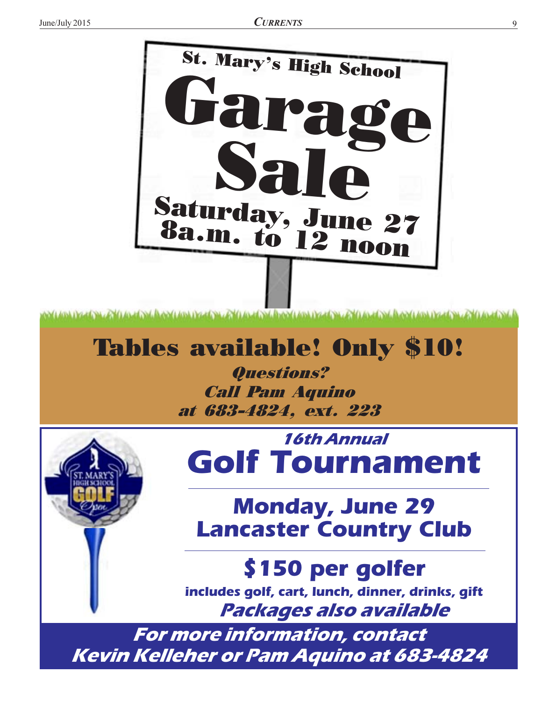

# **Tables available! Only \$10!**

Questions? **Call Pam Aquino** at 683-4824, ext. 223

*16th Annual* **Golf Tournament** 

# **Monday, June 29 Lancaster Country Club**

\$150 per golfer includes golf, cart, lunch, dinner, drinks, gift Packages also available

For more information, contact **Kevin Kelleher or Pam Aquino at 683-4824**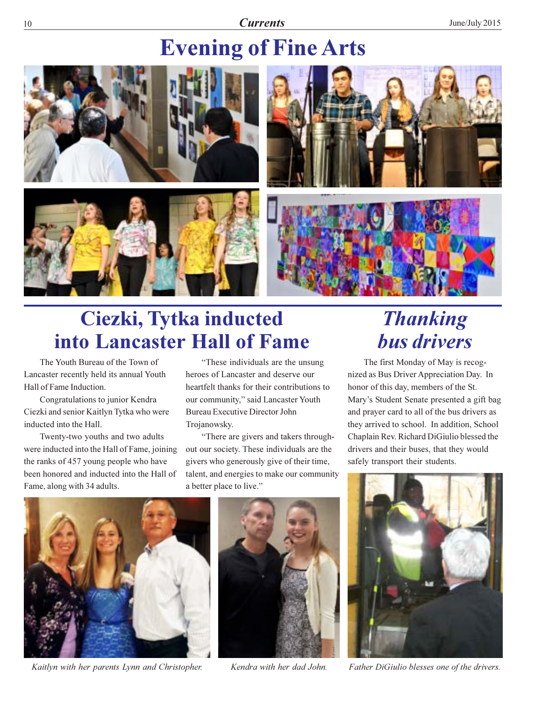#### **Currents**

# **Evening of Fine Arts**



# Ciezki, Tytka inducted into Lancaster Hall of Fame

The Youth Bureau of the Town of Lancaster recently held its annual Youth Hall of Fame Induction.

Congratulations to junior Kendra Ciezki and senior Kaitlyn Tytka who were inducted into the Hall.

Twenty-two youths and two adults were inducted into the Hall of Fame, joining the ranks of 457 young people who have been honored and inducted into the Hall of Fame, along with 34 adults.

"These individuals are the unsung" heroes of Lancaster and deserve our heartfelt thanks for their contributions to our community," said Lancaster Youth **Bureau Executive Director John** Trojanowsky.

"There are givers and takers throughout our society. These individuals are the givers who generously give of their time, talent, and energies to make our community a better place to live."

# **Thanking bus drivers**

The first Monday of May is recognized as Bus Driver Appreciation Day. In honor of this day, members of the St. Mary's Student Senate presented a gift bag and prayer card to all of the bus drivers as they arrived to school. In addition, School Chaplain Rev. Richard DiGiulio blessed the drivers and their buses, that they would safely transport their students.



Kaitlyn with her parents Lynn and Christopher.



Kendra with her dad John.



Father DiGiulio blesses one of the drivers.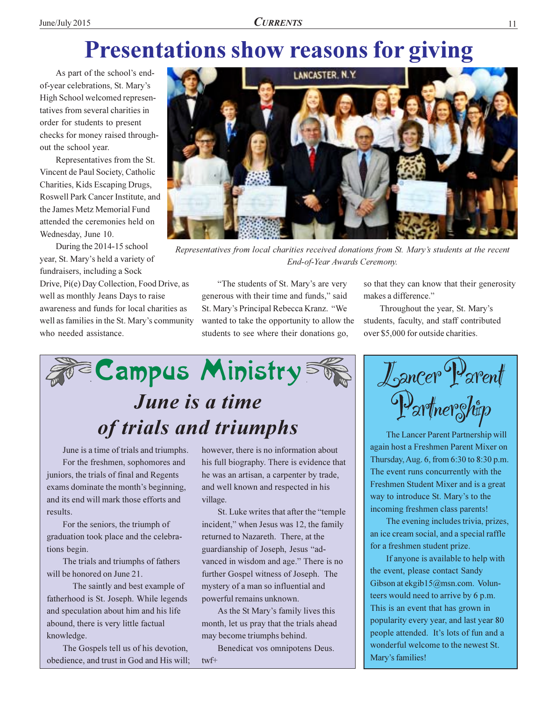# **Presentations show reasons for giving**

As part of the school's endof-year celebrations, St. Mary's High School welcomed representatives from several charities in order for students to present checks for money raised throughout the school year.

Representatives from the St. Vincent de Paul Society, Catholic Charities, Kids Escaping Drugs, Roswell Park Cancer Institute, and the James Metz Memorial Fund attended the ceremonies held on Wednesday, June 10.

During the 2014-15 school year, St. Mary's held a variety of fundraisers, including a Sock

Drive, Pi(e) Day Collection, Food Drive, as well as monthly Jeans Days to raise awareness and funds for local charities as well as families in the St. Mary's community who needed assistance.



Representatives from local charities received donations from St. Mary's students at the recent End-of-Year Awards Ceremony.

"The students of St. Mary's are very generous with their time and funds," said St. Mary's Principal Rebecca Kranz. "We wanted to take the opportunity to allow the students to see where their donations go,

so that they can know that their generosity makes a difference."

Throughout the year, St. Mary's students, faculty, and staff contributed over \$5,000 for outside charities.



June is a time of trials and triumphs. For the freshmen, sophomores and juniors, the trials of final and Regents exams dominate the month's beginning, and its end will mark those efforts and results.

For the seniors, the triumph of graduation took place and the celebrations begin.

The trials and triumphs of fathers will be honored on June 21.

The saintly and best example of fatherhood is St. Joseph. While legends and speculation about him and his life abound, there is very little factual knowledge.

The Gospels tell us of his devotion, obedience, and trust in God and His will; however, there is no information about his full biography. There is evidence that he was an artisan, a carpenter by trade, and well known and respected in his village.

St. Luke writes that after the "temple" incident," when Jesus was 12, the family returned to Nazareth. There, at the guardianship of Joseph, Jesus "advanced in wisdom and age." There is no further Gospel witness of Joseph. The mystery of a man so influential and powerful remains unknown.

As the St Mary's family lives this month, let us pray that the trials ahead may become triumphs behind.

Benedicat vos omnipotens Deus.  $twf+$ 

Lancer Parent Partnerghip

The Lancer Parent Partnership will again host a Freshmen Parent Mixer on Thursday, Aug. 6, from 6:30 to 8:30 p.m. The event runs concurrently with the Freshmen Student Mixer and is a great way to introduce St. Mary's to the incoming freshmen class parents!

The evening includes trivia, prizes, an ice cream social, and a special raffle for a freshmen student prize.

If anyone is available to help with the event, please contact Sandy Gibson at ekgib15@msn.com. Volunteers would need to arrive by 6 p.m. This is an event that has grown in popularity every year, and last year 80 people attended. It's lots of fun and a wonderful welcome to the newest St. Mary's families!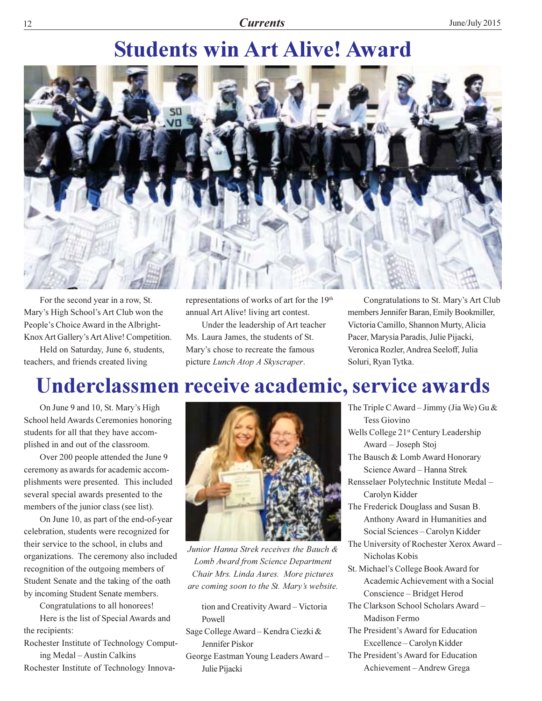# **Students win Art Alive! Award**



For the second year in a row, St. Mary's High School's Art Club won the People's Choice Award in the Albright-Knox Art Gallery's Art Alive! Competition.

Held on Saturday, June 6, students, teachers, and friends created living

representations of works of art for the 19<sup>th</sup> annual Art Alive! living art contest.

Under the leadership of Art teacher Ms. Laura James, the students of St. Mary's chose to recreate the famous picture Lunch Atop A Skyscraper.

Congratulations to St. Mary's Art Club members Jennifer Baran, Emily Bookmiller, Victoria Camillo, Shannon Murty, Alicia Pacer, Marysia Paradis, Julie Pijacki, Veronica Rozler, Andrea Seeloff, Julia Soluri, Ryan Tytka.

# Underclassmen receive academic, service awards

On June 9 and 10, St. Mary's High School held Awards Ceremonies honoring students for all that they have accomplished in and out of the classroom.

Over 200 people attended the June 9 ceremony as awards for academic accomplishments were presented. This included several special awards presented to the members of the junior class (see list).

On June 10, as part of the end-of-year celebration, students were recognized for their service to the school, in clubs and organizations. The ceremony also included recognition of the outgoing members of Student Senate and the taking of the oath by incoming Student Senate members.

Congratulations to all honorees!

Here is the list of Special Awards and the recipients:

Rochester Institute of Technology Comput-

ing Medal – Austin Calkins Rochester Institute of Technology Innova-



Junior Hanna Strek receives the Bauch & Lomb Award from Science Department Chair Mrs. Linda Aures. More pictures are coming soon to the St. Mary's website.

tion and Creativity Award - Victoria Powell

- Sage College Award Kendra Ciezki & Jennifer Piskor
- George Eastman Young Leaders Award-Julie Pijacki
- The Triple C Award Jimmy (Jia We) Gu & Tess Giovino Wells College 21<sup>st</sup> Century Leadership
	- Award Joseph Stoj
- The Bausch & Lomb Award Honorary Science Award - Hanna Strek
- Rensselaer Polytechnic Institute Medal -Carolyn Kidder
- The Frederick Douglass and Susan B. Anthony Award in Humanities and Social Sciences - Carolyn Kidder
- The University of Rochester Xerox Award -Nicholas Kobis
- St. Michael's College Book Award for Academic Achievement with a Social Conscience - Bridget Herod
- The Clarkson School Scholars Award -**Madison Fermo**
- The President's Award for Education Excellence - Carolyn Kidder
- The President's Award for Education Achievement-Andrew Grega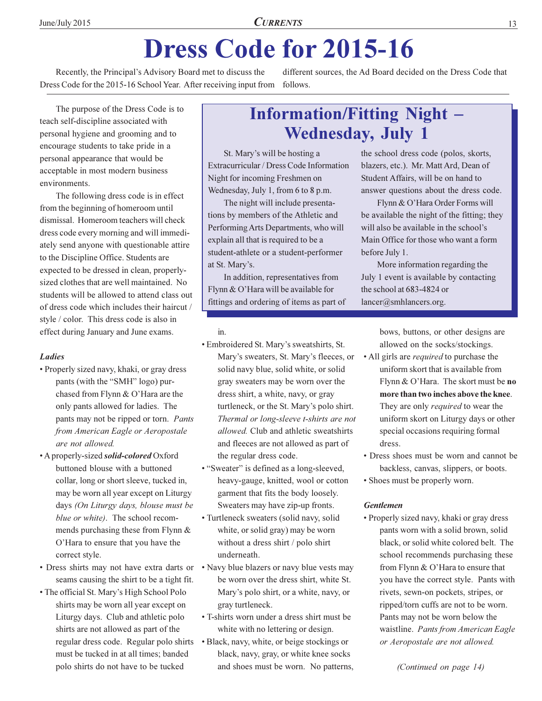# **Dress Code for 2015-16**

Recently, the Principal's Advisory Board met to discuss the Dress Code for the 2015-16 School Year. After receiving input from

different sources, the Ad Board decided on the Dress Code that follows.

The purpose of the Dress Code is to teach self-discipline associated with personal hygiene and grooming and to encourage students to take pride in a personal appearance that would be acceptable in most modern business environments.

The following dress code is in effect from the beginning of homeroom until dismissal. Homeroom teachers will check dress code every morning and will immediately send anyone with questionable attire to the Discipline Office. Students are expected to be dressed in clean, properlysized clothes that are well maintained. No students will be allowed to attend class out of dress code which includes their haircut / style / color. This dress code is also in effect during January and June exams.

#### **Ladies**

- Properly sized navy, khaki, or gray dress pants (with the "SMH" logo) purchased from Flynn & O'Hara are the only pants allowed for ladies. The pants may not be ripped or torn. Pants from American Eagle or Aeropostale are not allowed.
- A properly-sized *solid-colored* Oxford buttoned blouse with a buttoned collar, long or short sleeve, tucked in, may be worn all year except on Liturgy days (On Liturgy days, blouse must be blue or white). The school recommends purchasing these from Flynn  $&$ O'Hara to ensure that you have the correct style.
- Dress shirts may not have extra darts or seams causing the shirt to be a tight fit.
- The official St. Mary's High School Polo shirts may be worn all year except on Liturgy days. Club and athletic polo shirts are not allowed as part of the regular dress code. Regular polo shirts must be tucked in at all times; banded polo shirts do not have to be tucked

### **Information/Fitting Night -Wednesday, July 1**

St. Mary's will be hosting a Extracurricular / Dress Code Information Night for incoming Freshmen on Wednesday, July 1, from 6 to 8 p.m.

The night will include presentations by members of the Athletic and Performing Arts Departments, who will explain all that is required to be a student-athlete or a student-performer at St. Mary's.

In addition, representatives from Flynn & O'Hara will be available for fittings and ordering of items as part of

#### in

- · Embroidered St. Mary's sweatshirts, St. Mary's sweaters, St. Mary's fleeces, or solid navy blue, solid white, or solid gray sweaters may be worn over the dress shirt, a white, navy, or gray turtleneck, or the St. Mary's polo shirt. Thermal or long-sleeve t-shirts are not *allowed*. Club and athletic sweatshirts and fleeces are not allowed as part of the regular dress code.
- "Sweater" is defined as a long-sleeved, heavy-gauge, knitted, wool or cotton garment that fits the body loosely. Sweaters may have zip-up fronts.
- Turtleneck sweaters (solid navy, solid white, or solid gray) may be worn without a dress shirt / polo shirt underneath.
- Navy blue blazers or navy blue vests may be worn over the dress shirt, white St. Mary's polo shirt, or a white, navy, or gray turtleneck.
- T-shirts worn under a dress shirt must be white with no lettering or design.
- Black, navy, white, or beige stockings or black, navy, gray, or white knee socks and shoes must be worn. No patterns,

the school dress code (polos, skorts, blazers, etc.). Mr. Matt Ard, Dean of Student Affairs, will be on hand to answer questions about the dress code.

Flynn & O'Hara Order Forms will be available the night of the fitting; they will also be available in the school's Main Office for those who want a form before July 1.

More information regarding the July 1 event is available by contacting the school at 683-4824 or lancer@smhlancers.org.

> bows, buttons, or other designs are allowed on the socks/stockings.

- All girls are *required* to purchase the uniform skort that is available from Flynn & O'Hara. The skort must be no more than two inches above the knee. They are only *required* to wear the uniform skort on Liturgy days or other special occasions requiring formal dress.
- Dress shoes must be worn and cannot be backless, canvas, slippers, or boots.
- Shoes must be properly worn.

#### **Gentlemen**

· Properly sized navy, khaki or gray dress pants worn with a solid brown, solid black, or solid white colored belt. The school recommends purchasing these from Flynn  $& O'$  Hara to ensure that you have the correct style. Pants with rivets, sewn-on pockets, stripes, or ripped/torn cuffs are not to be worn. Pants may not be worn below the waistline. Pants from American Eagle or Aeropostale are not allowed.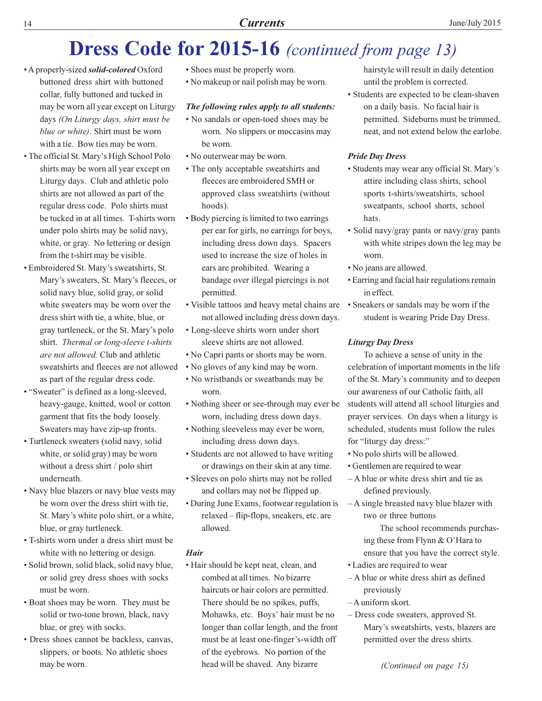## **Dress Code for 2015-16** (continued from page 13)

- A properly-sized *solid-colored* Oxford buttoned dress shirt with buttoned collar, fully buttoned and tucked in may be worn all year except on Liturgy days (On Liturgy days, shirt must be blue or white). Shirt must be worn with a tie. Bow ties may be worn.
- The official St. Mary's High School Polo shirts may be worn all year except on Liturgy days. Club and athletic polo shirts are not allowed as part of the regular dress code. Polo shirts must be tucked in at all times. T-shirts worn under polo shirts may be solid navy, white, or gray. No lettering or design from the t-shirt may be visible.
- · Embroidered St. Mary's sweatshirts, St. Mary's sweaters, St. Mary's fleeces, or solid navy blue, solid gray, or solid white sweaters may be worn over the dress shirt with tie, a white, blue, or gray turtleneck, or the St. Mary's polo shirt. Thermal or long-sleeve t-shirts are not allowed. Club and athletic sweatshirts and fleeces are not allowed as part of the regular dress code.
- "Sweater" is defined as a long-sleeved, heavy-gauge, knitted, wool or cotton garment that fits the body loosely. Sweaters may have zip-up fronts.
- Turtleneck sweaters (solid navy, solid white, or solid gray) may be worn without a dress shirt / polo shirt underneath.
- Navy blue blazers or navy blue vests may be worn over the dress shirt with tie. St. Mary's white polo shirt, or a white, blue, or gray turtleneck.
- T-shirts worn under a dress shirt must be white with no lettering or design.
- · Solid brown, solid black, solid navy blue, or solid grey dress shoes with socks must be worn.
- Boat shoes may be worn. They must be solid or two-tone brown, black, navy blue, or grey with socks.
- Dress shoes cannot be backless, canvas, slippers, or boots. No athletic shoes may be worn.
- Shoes must be properly worn.
- No makeup or nail polish may be worn.

#### The following rules apply to all students:

- No sandals or open-toed shoes may be worn. No slippers or moccasins may be worn.
- No outerwear may be worn.
- The only acceptable sweatshirts and fleeces are embroidered SMH or approved class sweatshirts (without hoods).
- Body piercing is limited to two earrings per ear for girls, no earrings for boys, including dress down days. Spacers used to increase the size of holes in ears are prohibited. Wearing a bandage over illegal piercings is not permitted.
- Visible tattoos and heavy metal chains are not allowed including dress down days.
- Long-sleeve shirts worn under short sleeve shirts are not allowed.
- No Capri pants or shorts may be worn.
- No gloves of any kind may be worn.
- No wristbands or sweatbands may be worn.
- Nothing sheer or see-through may ever be worn, including dress down days.
- Nothing sleeveless may ever be worn, including dress down days.
- Students are not allowed to have writing or drawings on their skin at any time.
- Sleeves on polo shirts may not be rolled and collars may not be flipped up.
- During June Exams, footwear regulation is relaxed - flip-flops, sneakers, etc. are allowed.

#### **Hair**

· Hair should be kept neat, clean, and combed at all times. No bizarre haircuts or hair colors are permitted. There should be no spikes, puffs, Mohawks, etc. Boys' hair must be no longer than collar length, and the front must be at least one-finger's-width off of the eyebrows. No portion of the head will be shaved. Any bizarre

hairstyle will result in daily detention until the problem is corrected.

• Students are expected to be clean-shaven on a daily basis. No facial hair is permitted. Sideburns must be trimmed. neat, and not extend below the earlobe.

#### **Pride Day Dress**

- Students may wear any official St. Mary's attire including class shirts, school sports t-shirts/sweatshirts, school sweatpants, school shorts, school hats.
- Solid navy/gray pants or navy/gray pants with white stripes down the leg may be worn
- No jeans are allowed.
- Earring and facial hair regulations remain in effect.
- Sneakers or sandals may be worn if the student is wearing Pride Day Dress.

#### **Liturgy Day Dress**

To achieve a sense of unity in the celebration of important moments in the life of the St. Mary's community and to deepen our awareness of our Catholic faith, all students will attend all school liturgies and prayer services. On days when a liturgy is scheduled, students must follow the rules for "liturgy day dress:"

- No polo shirts will be allowed.
- Gentlemen are required to wear
- $-A$  blue or white dress shirt and tie as defined previously.
- $-A$  single breasted navy blue blazer with two or three buttons

The school recommends purchasing these from Flynn & O'Hara to ensure that you have the correct style.

- Ladies are required to wear
- A blue or white dress shirt as defined previously
- -A uniform skort.
- Dress code sweaters, approved St. Mary's sweatshirts, vests, blazers are permitted over the dress shirts.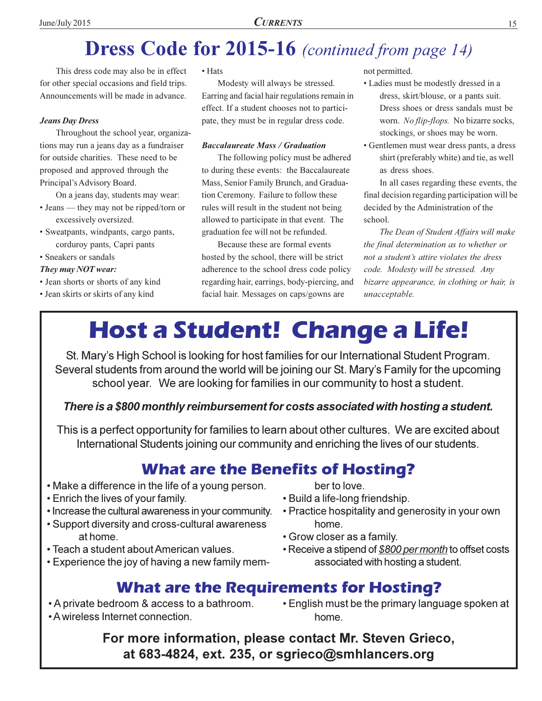# **Dress Code for 2015-16** (continued from page 14)

This dress code may also be in effect for other special occasions and field trips. Announcements will be made in advance.

#### **Jeans Day Dress**

Throughout the school year, organizations may run a jeans day as a fundraiser for outside charities. These need to be proposed and approved through the Principal's Advisory Board.

On a jeans day, students may wear:  $\cdot$  Jeans — they may not be ripped/torn or

- excessively oversized.
- · Sweatpants, windpants, cargo pants, corduroy pants, Capri pants
- · Sneakers or sandals

#### They may NOT wear:

- · Jean shorts or shorts of any kind
- Jean skirts or skirts of any kind

• Hats

Modesty will always be stressed. Earring and facial hair regulations remain in effect. If a student chooses not to participate, they must be in regular dress code.

#### **Baccalaureate Mass / Graduation**

The following policy must be adhered to during these events: the Baccalaureate Mass, Senior Family Brunch, and Graduation Ceremony. Failure to follow these rules will result in the student not being allowed to participate in that event. The graduation fee will not be refunded.

Because these are formal events hosted by the school, there will be strict adherence to the school dress code policy regarding hair, earrings, body-piercing, and facial hair. Messages on caps/gowns are

not permitted.

- Ladies must be modestly dressed in a dress, skirt/blouse, or a pants suit. Dress shoes or dress sandals must be worn. No flip-flops. No bizarre socks, stockings, or shoes may be worn.
- Gentlemen must wear dress pants, a dress shirt (preferably white) and tie, as well as dress shoes.

In all cases regarding these events, the final decision regarding participation will be decided by the Administration of the school.

The Dean of Student Affairs will make the final determination as to whether or not a student's attire violates the dress code. Modesty will be stressed. Any bizarre appearance, in clothing or hair, is unacceptable.

# **Host a Student! Change a Life!**

St. Mary's High School is looking for host families for our International Student Program. Several students from around the world will be joining our St. Mary's Family for the upcoming school year. We are looking for families in our community to host a student.

There is a \$800 monthly reimbursement for costs associated with hosting a student.

This is a perfect opportunity for families to learn about other cultures. We are excited about International Students joining our community and enriching the lives of our students.

### **What are the Benefits of Hosting?**

- Make a difference in the life of a young person.
- **Enrich the lives of your family.**
- Increase the cultural awareness in your community.
- Support diversity and cross-cultural awareness at home.
- Teach a student about American values.
- Experience the joy of having a new family mem-

ber to love.

- Build a life-long friendship.
- Practice hospitality and generosity in your own home.
- Grow closer as a family.
- Receive a stipend of \$800 per month to offset costs associated with hosting a student.

### **What are the Requirements for Hosting?**

- A private bedroom & access to a bathroom.
- A wireless Internet connection.

• English must be the primary language spoken at home.

For more information, please contact Mr. Steven Grieco, at 683-4824, ext. 235, or sgrieco@smhlancers.org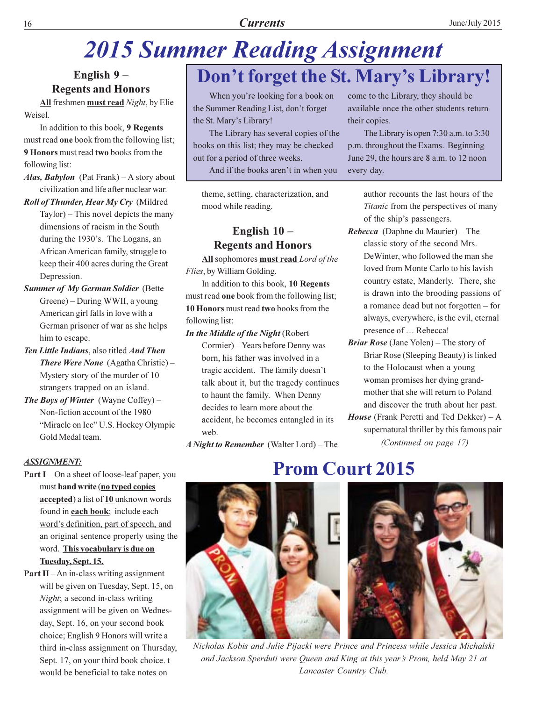# **2015 Summer Reading Assignment**

English 9-**Regents and Honors** 

All freshmen must read Night, by Elie Weisel.

In addition to this book, 9 Regents must read one book from the following list; 9 Honors must read two books from the following list:

Alas, Babylon (Pat Frank) - A story about civilization and life after nuclear war.

Roll of Thunder, Hear My Cry (Mildred Taylor) – This novel depicts the many dimensions of racism in the South during the 1930's. The Logans, an African American family, struggle to keep their 400 acres during the Great

Depression. **Summer of My German Soldier (Bette** Greene) – During WWII, a young American girl falls in love with a German prisoner of war as she helps

- him to escape. Ten Little Indians, also titled And Then **There Were None** (Agatha Christie) – Mystery story of the murder of 10 strangers trapped on an island.
- The Boys of Winter (Wayne Coffey)  $-$ Non-fiction account of the 1980 "Miracle on Ice" U.S. Hockey Olympic Gold Medal team.

#### **ASSIGNMENT:**

- **Part I** On a sheet of loose-leaf paper, you must hand write (no typed copies accepted) a list of 10 unknown words found in **each book**; include each word's definition, part of speech, and an original sentence properly using the word. This vocabulary is due on Tuesday, Sept. 15.
- **Part II** $-An$  in-class writing assignment will be given on Tuesday, Sept. 15, on Night; a second in-class writing assignment will be given on Wednesday, Sept. 16, on your second book choice; English 9 Honors will write a third in-class assignment on Thursday, Sept. 17, on your third book choice. t would be beneficial to take notes on

# Don't forget the St. Mary's Library!

When you're looking for a book on the Summer Reading List, don't forget the St. Mary's Library!

The Library has several copies of the books on this list; they may be checked out for a period of three weeks.

And if the books aren't in when you

theme, setting, characterization, and mood while reading.

#### English  $10 -$ **Regents and Honors**

All sophomores must read Lord of the Flies, by William Golding.

In addition to this book, 10 Regents must read one book from the following list; 10 Honors must read two books from the following list:

In the Middle of the Night (Robert Cormier) - Years before Denny was born, his father was involved in a tragic accident. The family doesn't talk about it, but the tragedy continues to haunt the family. When Denny decides to learn more about the accident, he becomes entangled in its web.

A Night to Remember (Walter Lord) – The

come to the Library, they should be available once the other students return their copies.

The Library is open  $7:30$  a.m. to  $3:30$ p.m. throughout the Exams. Beginning June 29, the hours are 8 a.m. to 12 noon every day.

> author recounts the last hours of the Titanic from the perspectives of many of the ship's passengers.

- *Rebecca* (Daphne du Maurier) The classic story of the second Mrs. De Winter, who followed the man she loved from Monte Carlo to his lavish country estate, Manderly. There, she is drawn into the brooding passions of a romance dead but not forgotten – for always, everywhere, is the evil, eternal presence of ... Rebecca!
- **Briar Rose** (Jane Yolen) The story of Briar Rose (Sleeping Beauty) is linked to the Holocaust when a young woman promises her dying grandmother that she will return to Poland and discover the truth about her past.
- *House* (Frank Peretti and Ted Dekker)  $-A$ supernatural thriller by this famous pair (Continued on page 17)



Nicholas Kobis and Julie Pijacki were Prince and Princess while Jessica Michalski and Jackson Sperduti were Oueen and King at this year's Prom, held May 21 at Lancaster Country Club.

### **Prom Court 2015**

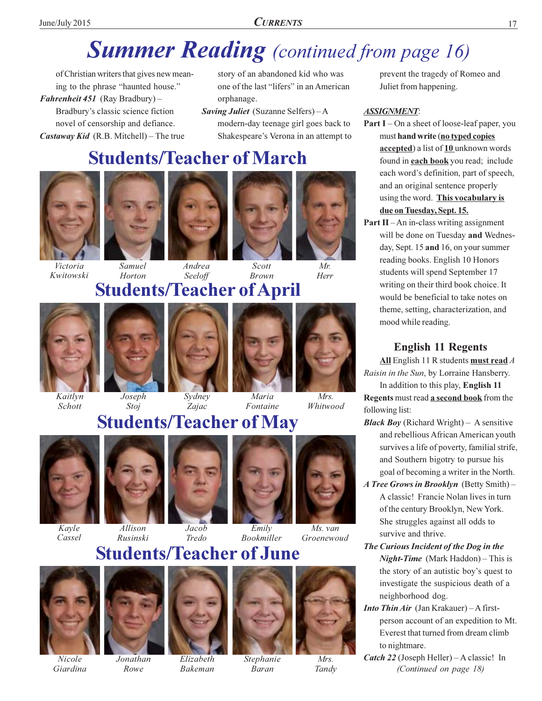# **Summer Reading** (continued from page 16)

of Christian writers that gives new meaning to the phrase "haunted house." Fahrenheit 451 (Ray Bradbury) -Bradbury's classic science fiction novel of censorship and defiance. *Castaway Kid* (R.B. Mitchell) – The true

story of an abandoned kid who was one of the last "lifers" in an American orphanage.

Saving Juliet (Suzanne Selfers) - A modern-day teenage girl goes back to Shakespeare's Verona in an attempt to

### **Students/Teacher of March**



Victoria

Kwitowski





Scott **Brown** 



Whitwood

Seeloff Horton **Students/Teacher of April** 



Kaitlyn Schott





 $Z$ *ajac* 



Fontaine

### **Students/Teacher of May**



Kavle Cassel





Allison Rusinski





**Bookmiller** Groenewoud

**Students/Teacher of June** 



Nicole Giardina



Rowe



Elizabeth **Bakeman** 



**Baran** 

Tandv

prevent the tragedy of Romeo and Juliet from happening.

#### **ASSIGNMENT:**

- **Part I** On a sheet of loose-leaf paper, you must hand write (no typed copies accepted) a list of 10 unknown words found in **each book** you read; include each word's definition, part of speech, and an original sentence properly using the word. This vocabulary is due on Tuesday, Sept. 15.
- **Part II** An in-class writing assignment will be done on Tuesday and Wednesday, Sept. 15 and 16, on your summer reading books. English 10 Honors students will spend September 17 writing on their third book choice. It would be beneficial to take notes on theme, setting, characterization, and mood while reading.

#### **English 11 Regents**

All English 11 R students must read  $A$ Raisin in the Sun, by Lorraine Hansberry.

In addition to this play, English 11 Regents must read a second book from the following list:

- **Black Boy** (Richard Wright) A sensitive and rebellious African American youth survives a life of poverty, familial strife, and Southern bigotry to pursue his goal of becoming a writer in the North.
- A Tree Grows in Brooklyn (Betty Smith) -A classic! Francie Nolan lives in turn of the century Brooklyn, New York. She struggles against all odds to survive and thrive.
- The Curious Incident of the Dog in the **Night-Time** (Mark Haddon) – This is the story of an autistic boy's quest to investigate the suspicious death of a neighborhood dog.
- Into Thin Air (Jan Krakauer) A firstperson account of an expedition to Mt. Everest that turned from dream climb to nightmare.
- *Catch 22* (Joseph Heller)  $-A$  classic! In (Continued on page 18)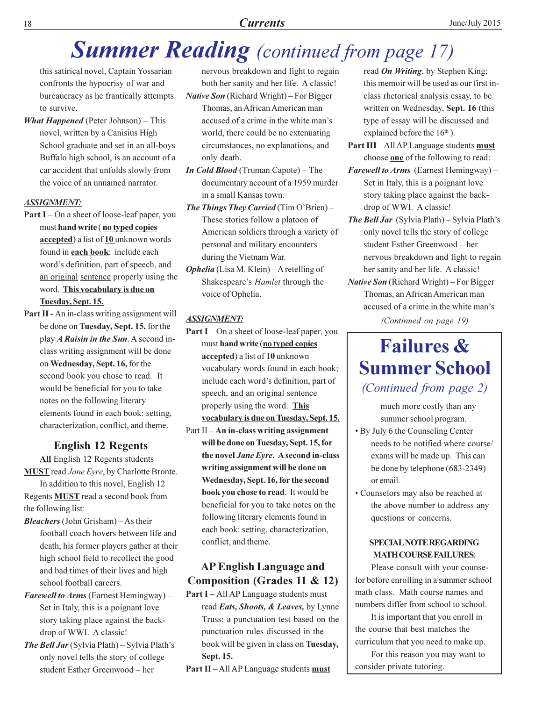#### **Currents**

# **Summer Reading** (continued from page 17)

this satirical novel, Captain Yossarian confronts the hypocrisy of war and bureaucracy as he frantically attempts to survive.

**What Happened** (Peter Johnson)  $-$  This novel, written by a Canisius High School graduate and set in an all-boys Buffalo high school, is an account of a car accident that unfolds slowly from the voice of an unnamed narrator.

#### **ASSIGNMENT:**

- **Part I** On a sheet of loose-leaf paper, you must hand write (no typed copies accepted) a list of 10 unknown words found in each book; include each word's definition, part of speech, and an original sentence properly using the word. This vocabulary is due on Tuesday, Sept. 15.
- Part II An in-class writing assignment will be done on Tuesday, Sept. 15, for the play *A Raisin in the Sun*. A second inclass writing assignment will be done on Wednesday, Sept. 16, for the second book you chose to read. It would be beneficial for you to take notes on the following literary elements found in each book: setting, characterization, conflict, and theme.

#### **English 12 Regents**

All English 12 Regents students **MUST** read Jane Eyre, by Charlotte Bronte.

In addition to this novel, English 12 Regents **MUST** read a second book from the following list:

- **Bleachers** (John Grisham)  $-$  As their football coach hovers between life and death, his former players gather at their high school field to recollect the good and bad times of their lives and high school football careers.
- **Farewell to Arms (Earnest Hemingway)** Set in Italy, this is a poignant love story taking place against the backdrop of WWI. A classic!
- **The Bell Jar** (Sylvia Plath) Sylvia Plath's only novel tells the story of college student Esther Greenwood - her

nervous breakdown and fight to regain both her sanity and her life. A classic!

**Native Son** (Richard Wright) – For Bigger Thomas, an African American man accused of a crime in the white man's world, there could be no extenuating circumstances, no explanations, and only death.

- **In Cold Blood** (Truman Capote) The documentary account of a 1959 murder in a small Kansas town.
- **The Things They Carried** (Tim O'Brien) These stories follow a platoon of American soldiers through a variety of personal and military encounters during the Vietnam War.
- **Ophelia** (Lisa M. Klein) A retelling of Shakespeare's Hamlet through the voice of Ophelia.

#### **ASSIGNMENT:**

- **Part I** On a sheet of loose-leaf paper, you must hand write (no typed copies accepted) a list of 10 unknown vocabulary words found in each book; include each word's definition, part of speech, and an original sentence properly using the word. This vocabulary is due on Tuesday, Sept. 15. Part II - An in-class writing assignment
- will be done on Tuesday, Sept. 15, for the novel *Jane Eyre*. A second in-class writing assignment will be done on Wednesday, Sept. 16, for the second book you chose to read. It would be beneficial for you to take notes on the following literary elements found in each book: setting, characterization, conflict, and theme.

#### **AP English Language and Composition (Grades 11 & 12)**

Part I - All AP Language students must read Eats, Shoots, & Leaves, by Lynne Truss; a punctuation test based on the punctuation rules discussed in the book will be given in class on Tuesday, Sept. 15.

**Part II-All AP Language students must** 

read *On Writing*, by Stephen King; this memoir will be used as our first inclass rhetorical analysis essay, to be written on Wednesday, Sept. 16 (this type of essay will be discussed and explained before the  $16<sup>th</sup>$ ).

- Part III-All AP Language students must choose one of the following to read:
- Farewell to Arms (Earnest Hemingway) -Set in Italy, this is a poignant love story taking place against the backdrop of WWI. A classic!
- **The Bell Jar** (Sylvia Plath) Sylvia Plath's only novel tells the story of college student Esther Greenwood - her nervous breakdown and fight to regain her sanity and her life. A classic!
- Native Son (Richard Wright) For Bigger Thomas, an African American man accused of a crime in the white man's (Continued on page 19)

### **Failures & Summer School** (Continued from page 2)

much more costly than any summer school program.

- By July 6 the Counseling Center needs to be notified where course/ exams will be made up. This can be done by telephone  $(683-2349)$ or email.
- Counselors may also be reached at the above number to address any questions or concerns.

#### **SPECIAL NOTE REGARDING MATH COURSE FAILURES:**

Please consult with your counselor before enrolling in a summer school math class. Math course names and numbers differ from school to school.

It is important that you enroll in the course that best matches the curriculum that you need to make up. For this reason you may want to

consider private tutoring.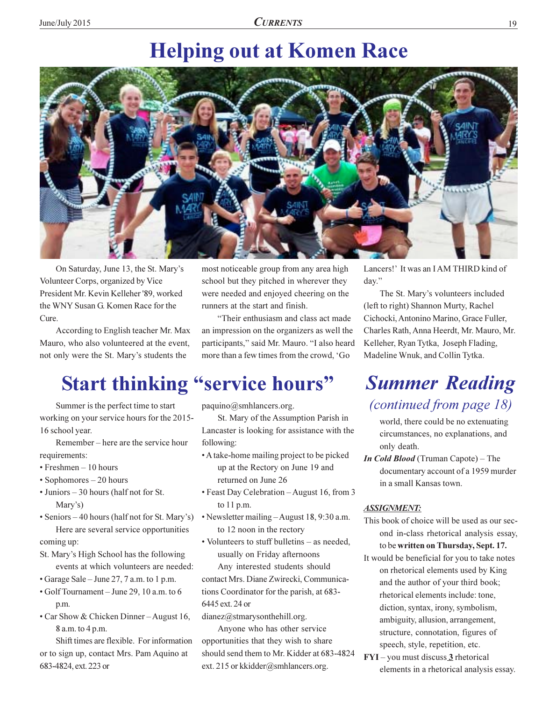## **Helping out at Komen Race**



On Saturday, June 13, the St. Mary's Volunteer Corps, organized by Vice President Mr. Kevin Kelleher '89, worked the WNY Susan G. Komen Race for the Cure.

According to English teacher Mr. Max Mauro, who also volunteered at the event, not only were the St. Mary's students the

# **Start thinking "service hours"**

Summer is the perfect time to start working on your service hours for the 2015-16 school year.

Remember – here are the service hour requirements:

- $\cdot$  Freshmen  $-10$  hours
- $\cdot$  Sophomores  $-20$  hours
- Juniors 30 hours (half not for St. Mary's)
- Seniors 40 hours (half not for St. Mary's) Here are several service opportunities

coming up:

- St. Mary's High School has the following events at which volunteers are needed:
- Garage Sale June 27, 7 a.m. to 1 p.m.
- · Golf Tournament June 29, 10 a.m. to 6 p.m.
- Car Show & Chicken Dinner August 16, 8 a.m. to 4 p.m.

Shift times are flexible. For information or to sign up, contact Mrs. Pam Aquino at 683-4824, ext. 223 or

most noticeable group from any area high school but they pitched in wherever they were needed and enjoyed cheering on the runners at the start and finish.

"Their enthusiasm and class act made an impression on the organizers as well the participants," said Mr. Mauro. "I also heard more than a few times from the crowd. 'Go

 $paquino@smhlancers.org.$ 

St. Mary of the Assumption Parish in Lancaster is looking for assistance with the following:

- A take-home mailing project to be picked up at the Rectory on June 19 and returned on June 26
- Feast Day Celebration August 16, from 3 to  $11 p.m.$
- Newsletter mailing August 18, 9:30 a.m. to 12 noon in the rectory
- Volunteers to stuff bulletins as needed. usually on Friday afternoons Any interested students should

contact Mrs. Diane Zwirecki, Communications Coordinator for the parish, at 683-6445 ext. 24 or

dianez@stmarysonthehill.org.

Anyone who has other service opportunities that they wish to share should send them to Mr. Kidder at 683-4824 ext. 215 or kkidder@smhlancers.org.

Lancers!' It was an IAM THIRD kind of day."

The St. Mary's volunteers included (left to right) Shannon Murty, Rachel Cichocki, Antonino Marino, Grace Fuller, Charles Rath, Anna Heerdt, Mr. Mauro, Mr. Kelleher, Ryan Tytka, Joseph Flading, Madeline Wnuk, and Collin Tytka.

### **Summer Reading** *(continued from page 18)*

world, there could be no extenuating circumstances, no explanations, and only death.

*In Cold Blood* (Truman Capote) – The documentary account of a 1959 murder in a small Kansas town.

#### **ASSIGNMENT:**

- This book of choice will be used as our second in-class rhetorical analysis essay, to be written on Thursday, Sept. 17.
- It would be beneficial for you to take notes on rhetorical elements used by King and the author of your third book; rhetorical elements include: tone, diction, syntax, irony, symbolism, ambiguity, allusion, arrangement, structure, connotation, figures of speech, style, repetition, etc.
- $FYI you must discuss 3$  rhetorical elements in a rhetorical analysis essay.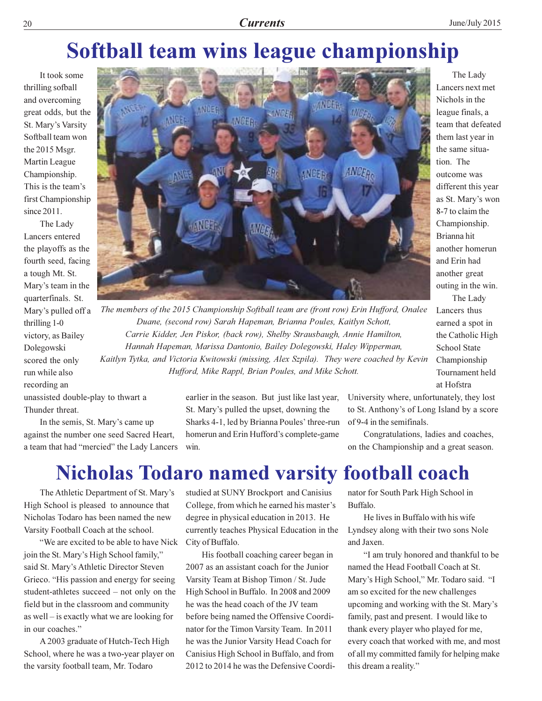## Softball team wins league championship

It took some thrilling sofball and overcoming great odds, but the St. Mary's Varsity Softball team won the 2015 Msgr. Martin League Championship. This is the team's first Championship since  $2011$ .

The Lady Lancers entered the playoffs as the fourth seed, facing a tough Mt. St. Mary's team in the quarterfinals. St. Mary's pulled off a thrilling 1-0 victory, as Bailey Dolegowski scored the only run while also recording an



The Lady Lancers next met Nichols in the league finals, a team that defeated them last year in the same situation. The outcome was different this year as St. Mary's won 8-7 to claim the Championship. Brianna hit another homerun and Erin had another great outing in the win. The Lady

Lancers thus

**School State** 

at Hofstra

Championship

Tournament held

earned a spot in

the Catholic High

The members of the 2015 Championship Softball team are (front row) Erin Hufford, Onalee Duane, (second row) Sarah Hapeman, Brianna Poules, Kaitlyn Schott, Carrie Kidder, Jen Piskor, (back row), Shelby Strausbaugh, Annie Hamilton, Hannah Hapeman, Marissa Dantonio, Bailey Dolegowski, Haley Wipperman, Kaitlyn Tytka, and Victoria Kwitowski (missing, Alex Szpila). They were coached by Kevin Hufford, Mike Rappl, Brian Poules, and Mike Schott.

unassisted double-play to thwart a Thunder threat.

In the semis, St. Mary's came up against the number one seed Sacred Heart, a team that had "mercied" the Lady Lancers

earlier in the season. But just like last year, St. Mary's pulled the upset, downing the Sharks 4-1, led by Brianna Poules' three-run homerun and Erin Hufford's complete-game win.

University where, unfortunately, they lost to St. Anthony's of Long Island by a score of 9-4 in the semifinals.

Congratulations, ladies and coaches, on the Championship and a great season.

### **Nicholas Todaro named varsity football coach**

The Athletic Department of St. Mary's High School is pleased to announce that Nicholas Todaro has been named the new Varsity Football Coach at the school.

"We are excited to be able to have Nick" join the St. Mary's High School family," said St. Mary's Athletic Director Steven Grieco. "His passion and energy for seeing student-athletes succeed – not only on the field but in the classroom and community as well - is exactly what we are looking for in our coaches."

A 2003 graduate of Hutch-Tech High School, where he was a two-year player on the varsity football team, Mr. Todaro

studied at SUNY Brockport and Canisius College, from which he earned his master's degree in physical education in 2013. He currently teaches Physical Education in the City of Buffalo.

His football coaching career began in 2007 as an assistant coach for the Junior Varsity Team at Bishop Timon / St. Jude High School in Buffalo. In 2008 and 2009 he was the head coach of the JV team before being named the Offensive Coordinator for the Timon Varsity Team. In 2011 he was the Junior Varsity Head Coach for Canisius High School in Buffalo, and from 2012 to 2014 he was the Defensive Coordinator for South Park High School in **Buffalo** 

He lives in Buffalo with his wife Lyndsey along with their two sons Nole and Jaxen.

"I am truly honored and thankful to be named the Head Football Coach at St. Mary's High School," Mr. Todaro said. "I am so excited for the new challenges upcoming and working with the St. Mary's family, past and present. I would like to thank every player who played for me, every coach that worked with me, and most of all my committed family for helping make this dream a reality."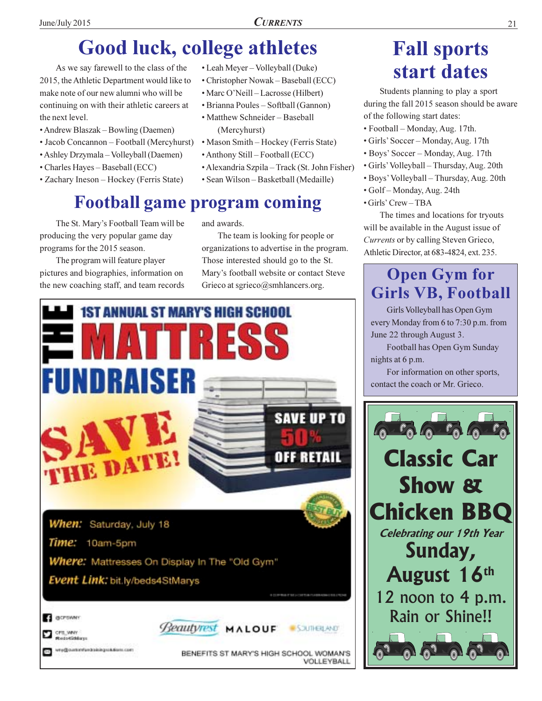• Leah Meyer - Volleyball (Duke)

· Marc O'Neill-Lacrosse (Hilbert)

· Matthew Schneider - Baseball

· Anthony Still - Football (ECC)

(Mercyhurst)

• Brianna Poules – Softball (Gannon)

• Mason Smith – Hockey (Ferris State)

• Sean Wilson - Basketball (Medaille)

• Alexandria Szpila – Track (St. John Fisher)

• Christopher Nowak – Baseball (ECC)

# **Good luck, college athletes**

As we say farewell to the class of the 2015, the Athletic Department would like to make note of our new alumni who will be continuing on with their athletic careers at the next level.

- Andrew Blaszak Bowling (Daemen)
- Jacob Concannon Football (Mercyhurst)
- · Ashley Drzymala Volleyball (Daemen)
- Charles Hayes Baseball (ECC)
- Zachary Ineson Hockey (Ferris State)

### **Football game program coming**

The St. Mary's Football Team will be producing the very popular game day programs for the 2015 season.

The program will feature player pictures and biographies, information on the new coaching staff, and team records and awards.

The team is looking for people or organizations to advertise in the program. Those interested should go to the St. Mary's football website or contact Steve Grieco at sgrieco@smhlancers.org.



### **Fall sports** start dates

Students planning to play a sport during the fall 2015 season should be aware of the following start dates:

- Football Monday, Aug. 17th.
- · Girls' Soccer Monday, Aug. 17th
- · Boys' Soccer Monday, Aug. 17th
- · Girls' Volleyball Thursday, Aug. 20th
- · Boys' Volleyball Thursday, Aug. 20th
- · Golf-Monday, Aug. 24th
- $\cdot$  Girls' Crew TBA

The times and locations for tryouts will be available in the August issue of Currents or by calling Steven Grieco, Athletic Director, at 683-4824, ext. 235.

### **Open Gym for Girls VB, Football**

Girls Volleyball has Open Gym every Monday from 6 to 7:30 p.m. from June 22 through August 3.

Football has Open Gym Sunday nights at 6 p.m.

For information on other sports, contact the coach or Mr. Grieco.

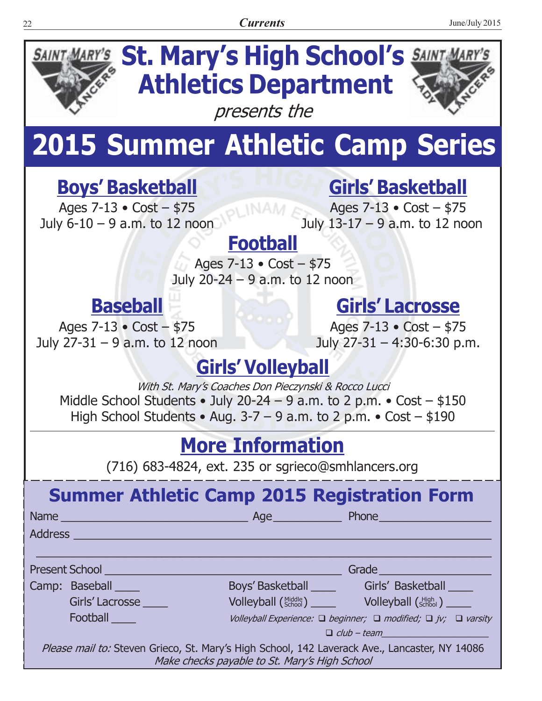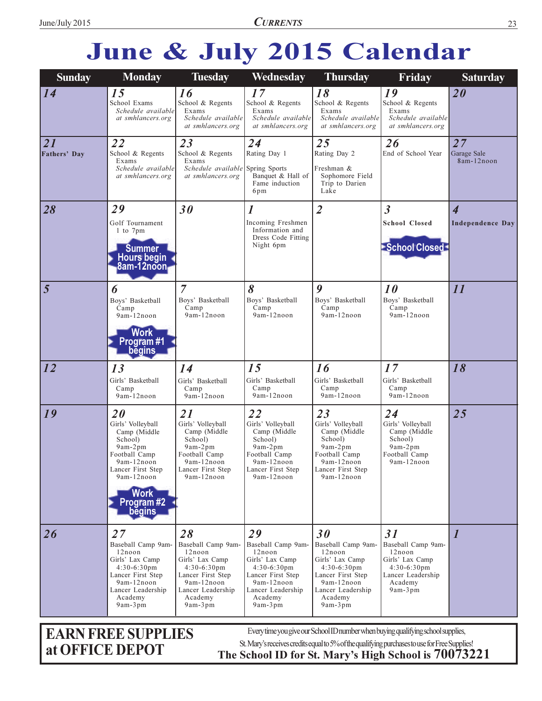# June & July 2015 Calendar

| <b>Sunday</b>      | <b>Monday</b>                                                                                                                                                           | <b>Tuesday</b>                                                                                                                                        | Wednesday                                                                                                                                               | <b>Thursday</b>                                                                                                                                         | Friday                                                                                                             | <b>Saturday</b>                                    |
|--------------------|-------------------------------------------------------------------------------------------------------------------------------------------------------------------------|-------------------------------------------------------------------------------------------------------------------------------------------------------|---------------------------------------------------------------------------------------------------------------------------------------------------------|---------------------------------------------------------------------------------------------------------------------------------------------------------|--------------------------------------------------------------------------------------------------------------------|----------------------------------------------------|
| 14                 | 15<br>School Exams<br>Schedule available<br>at smhlancers.org                                                                                                           | 16<br>School & Regents<br>Exams<br>Schedule available<br>at smhlancers.org                                                                            | 17<br>School & Regents<br>Exams<br>Schedule available<br>at smhlancers.org                                                                              | 18<br>School & Regents<br>Exams<br>Schedule available<br>at smhlancers.org                                                                              | 19<br>School & Regents<br>Exams<br>Schedule available<br>at smhlancers.org                                         | 20                                                 |
| 21<br>Fathers' Day | 22<br>School & Regents<br>Exams<br>Schedule available<br>at smhlancers.org                                                                                              | 23<br>School & Regents<br>Exams<br>Schedule available Spring Sports<br>at smhlancers.org                                                              | 24<br>Rating Day 1<br>Banquet & Hall of<br>Fame induction<br>6pm                                                                                        | 25<br>Rating Day 2<br>Freshman &<br>Sophomore Field<br>Trip to Darien<br>Lake                                                                           | 26<br>End of School Year                                                                                           | 27<br>Garage Sale<br>8am-12noon                    |
| 28                 | 29<br>Golf Tournament<br>1 to 7pm<br><b>Summer</b><br>Hours begin<br>8am-12noon                                                                                         | 30                                                                                                                                                    | 1<br>Incoming Freshmen<br>Information and<br>Dress Code Fitting<br>Night 6pm                                                                            | $\overline{2}$                                                                                                                                          | $\overline{\mathbf{3}}$<br><b>School Closed</b><br>School Closed                                                   | $\overline{\mathbf{4}}$<br><b>Independence Day</b> |
| $\overline{5}$     | 6<br>Boys' Basketball<br>Camp<br>9am-12noon<br><b>Work</b><br>Program#1<br><b>begins</b>                                                                                | $\overline{7}$<br>Boys' Basketball<br>Camp<br>9am-12noon                                                                                              | 8<br>Boys' Basketball<br>Camp<br>9am-12noon                                                                                                             | 9<br>Boys' Basketball<br>Camp<br>9am-12noon                                                                                                             | 10<br>Boys' Basketball<br>Camp<br>9am-12noon                                                                       | 11                                                 |
| $\overline{12}$    | 13<br>Girls' Basketball<br>Camp<br>9am-12noon                                                                                                                           | 14<br>Girls' Basketball<br>Camp<br>9am-12noon                                                                                                         | 15<br>Girls' Basketball<br>Camp<br>9am-12noon                                                                                                           | 16<br>Girls' Basketball<br>Camp<br>9am-12noon                                                                                                           | 17<br>Girls' Basketball<br>Camp<br>9am-12noon                                                                      | 18                                                 |
| 19                 | 20<br>Girls' Volleyball<br>Camp (Middle<br>School)<br>$9am-2pm$<br>Football Camp<br>9am-12noon<br>Lancer First Step<br>9am-12noon<br><b>Work</b><br>Program#2<br>begins | 21<br>Girls' Volleyball<br>Camp (Middle<br>School)<br>9am-2pm<br>Football Camp<br>9am-12noon<br>Lancer First Step<br>9am-12noon                       | 22<br>Girls' Volleyball<br>Camp (Middle<br>School)<br>$9am-2pm$<br>Football Camp<br>9am-12noon<br>Lancer First Step<br>9am-12noon                       | 23<br>Girls' Volleyball<br>Camp (Middle<br>School)<br>$9am-2pm$<br>Football Camp<br>9am-12noon<br>Lancer First Step<br>9am-12noon                       | 24<br>Girls' Volleyball<br>Camp (Middle<br>School)<br>$9am-2pm$<br>Football Camp<br>9am-12noon                     | 25                                                 |
| 26                 | 27<br>Baseball Camp 9am-<br>12noon<br>Girls' Lax Camp<br>$4:30-6:30$ pm<br>Lancer First Step<br>9am-12noon<br>Lancer Leadership<br>Academy<br>$9am-3pm$                 | 28<br>Baseball Camp 9am-<br>12noon<br>Girls' Lax Camp<br>$4:30-6:30$ pm<br>Lancer First Step<br>9am-12noon<br>Lancer Leadership<br>Academy<br>9am-3pm | 29<br>Baseball Camp 9am-<br>12noon<br>Girls' Lax Camp<br>$4:30-6:30$ pm<br>Lancer First Step<br>9am-12noon<br>Lancer Leadership<br>Academy<br>$9am-3pm$ | 30<br>Baseball Camp 9am-<br>12noon<br>Girls' Lax Camp<br>$4:30-6:30$ pm<br>Lancer First Step<br>9am-12noon<br>Lancer Leadership<br>Academy<br>$9am-3pm$ | 31<br>Baseball Camp 9am-<br>12noon<br>Girls' Lax Camp<br>$4:30-6:30$ pm<br>Lancer Leadership<br>Academy<br>9am-3pm | $\boldsymbol{l}$                                   |

**EARN FREE SUPPLIES** at OFFICE DEPOT

Every time you give our School ID number when buying qualifying school supplies,

St. Mary's receives credits equal to 5% of the qualifying purchases to use for Free Supplies!

The School ID for St. Mary's High School is 70073221